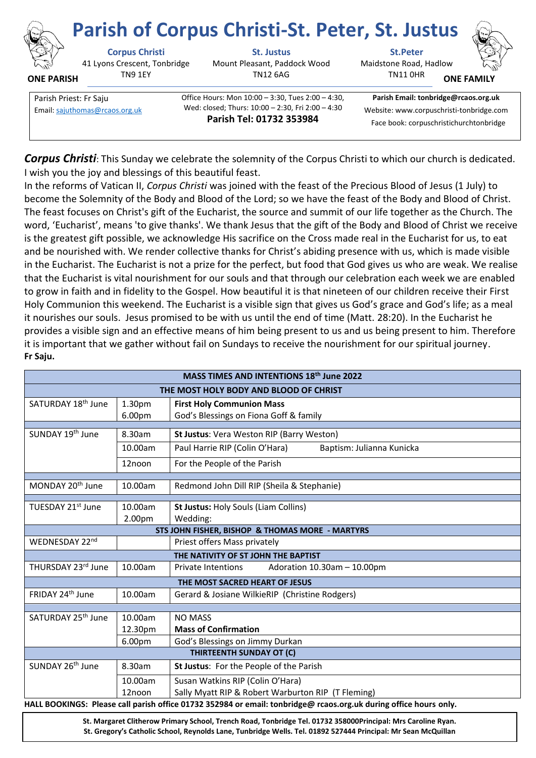

## **Parish of Corpus Christi-St. Peter, St. Justus**

41 Lyons Crescent, Tonbridge TN9 1EY **ONE PARISH**

**Corpus Christi St. Justus St.Peter** Mount Pleasant, Paddock Wood TN12 6AG

Maidstone Road, Hadlow

TN11 0HR

**ONE FAMI** 

Parish Priest: Fr Saju **Christian Communist Communist Communist** Office Hours: Mon 10:00 – 3:30, Tues 2:00 – 4:30, Wed: closed; Thurs: 10:00 – 2:30, Fri 2:00 – 4:30 **Parish Tel: 01732 353984**

**Parish Email: tonbridge@rcaos.org.uk** Email[: sajuthomas@rcaos.org.uk](about:blank) Wed: closed; I hurs: 10:00 – 2:30, Fri 2:00 – 4:30 Website: www.corpuschristi-tonbridge.com Face book: corpuschristichurchtonbridge

*Corpus Christi*: This Sunday we celebrate the solemnity of the Corpus Christi to which our church is dedicated. I wish you the joy and blessings of this beautiful feast.

In the reforms of Vatican II, *Corpus Christi* was joined with the feast of the Precious Blood of Jesus (1 July) to become the Solemnity of the Body and Blood of the Lord; so we have the feast of the Body and Blood of Christ. The feast focuses on Christ's gift of the Eucharist, the source and summit of our life together as the Church. The word, 'Eucharist', means 'to give thanks'. We thank Jesus that the gift of the Body and Blood of Christ we receive is the greatest gift possible, we acknowledge His sacrifice on the Cross made real in the Eucharist for us, to eat and be nourished with. We render collective thanks for Christ's abiding presence with us, which is made visible in the Eucharist. The Eucharist is not a prize for the perfect, but food that God gives us who are weak. We realise that the Eucharist is vital nourishment for our souls and that through our celebration each week we are enabled to grow in faith and in fidelity to the Gospel. How beautiful it is that nineteen of our children receive their First Holy Communion this weekend. The Eucharist is a visible sign that gives us God's grace and God's life; as a meal it nourishes our souls. Jesus promised to be with us until the end of time (Matt. 28:20). In the Eucharist he provides a visible sign and an effective means of him being present to us and us being present to him. Therefore it is important that we gather without fail on Sundays to receive the nourishment for our spiritual journey. **Fr Saju.**

| MASS TIMES AND INTENTIONS 18th June 2022                                                                          |                                          |                                                                            |  |
|-------------------------------------------------------------------------------------------------------------------|------------------------------------------|----------------------------------------------------------------------------|--|
| THE MOST HOLY BODY AND BLOOD OF CHRIST                                                                            |                                          |                                                                            |  |
| SATURDAY 18 <sup>th</sup> June                                                                                    | 1.30 <sub>pm</sub><br>6.00 <sub>pm</sub> | <b>First Holy Communion Mass</b><br>God's Blessings on Fiona Goff & family |  |
| SUNDAY 19th June                                                                                                  | 8.30am                                   | St Justus: Vera Weston RIP (Barry Weston)                                  |  |
|                                                                                                                   | 10.00am                                  | Paul Harrie RIP (Colin O'Hara)<br>Baptism: Julianna Kunicka                |  |
|                                                                                                                   | 12noon                                   | For the People of the Parish                                               |  |
| MONDAY 20 <sup>th</sup> June                                                                                      | 10.00am                                  | Redmond John Dill RIP (Sheila & Stephanie)                                 |  |
| TUESDAY 21st June                                                                                                 | 10.00am<br>2.00pm                        | St Justus: Holy Souls (Liam Collins)<br>Wedding:                           |  |
| STS JOHN FISHER, BISHOP & THOMAS MORE - MARTYRS                                                                   |                                          |                                                                            |  |
| WEDNESDAY 22nd                                                                                                    |                                          | Priest offers Mass privately                                               |  |
| THE NATIVITY OF ST JOHN THE BAPTIST                                                                               |                                          |                                                                            |  |
| THURSDAY 23rd June                                                                                                | 10.00am                                  | Adoration 10.30am - 10.00pm<br><b>Private Intentions</b>                   |  |
| THE MOST SACRED HEART OF JESUS                                                                                    |                                          |                                                                            |  |
| FRIDAY 24th June                                                                                                  | 10.00am                                  | Gerard & Josiane WilkieRIP (Christine Rodgers)                             |  |
| SATURDAY 25 <sup>th</sup> June                                                                                    | 10.00am                                  | <b>NO MASS</b>                                                             |  |
|                                                                                                                   | 12.30pm                                  | <b>Mass of Confirmation</b>                                                |  |
|                                                                                                                   | 6.00pm                                   | God's Blessings on Jimmy Durkan                                            |  |
| <b>THIRTEENTH SUNDAY OT (C)</b>                                                                                   |                                          |                                                                            |  |
| SUNDAY 26 <sup>th</sup> June                                                                                      | 8.30am                                   | St Justus: For the People of the Parish                                    |  |
|                                                                                                                   | 10.00am                                  | Susan Watkins RIP (Colin O'Hara)                                           |  |
|                                                                                                                   | 12noon                                   | Sally Myatt RIP & Robert Warburton RIP (T Fleming)                         |  |
| HALL BOOKINGS: Please call parish office 01732 352984 or email: tonbridge@ rcaos.org.uk during office hours only. |                                          |                                                                            |  |

**St. Margaret Clitherow Primary School, Trench Road, Tonbridge Tel. 01732 358000Principal: Mrs Caroline Ryan. St. Gregory's Catholic School, Reynolds Lane, Tunbridge Wells. Tel. 01892 527444 Principal: Mr Sean McQuillan**